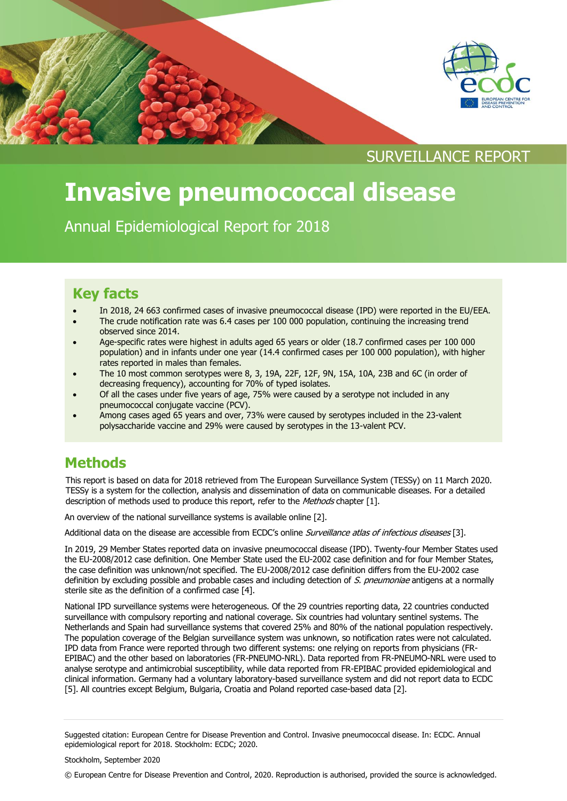

SURVEILLANCE REPORT

# **Invasive pneumococcal disease**

Annual Epidemiological Report for 2018

### **Key facts**

- In 2018, 24 663 confirmed cases of invasive pneumococcal disease (IPD) were reported in the EU/EEA.
- The crude notification rate was 6.4 cases per 100 000 population, continuing the increasing trend observed since 2014.
- Age-specific rates were highest in adults aged 65 years or older (18.7 confirmed cases per 100 000 population) and in infants under one year (14.4 confirmed cases per 100 000 population), with higher rates reported in males than females.
- The 10 most common serotypes were 8, 3, 19A, 22F, 12F, 9N, 15A, 10A, 23B and 6C (in order of decreasing frequency), accounting for 70% of typed isolates.
- Of all the cases under five years of age, 75% were caused by a serotype not included in any pneumococcal conjugate vaccine (PCV).
- Among cases aged 65 years and over, 73% were caused by serotypes included in the 23-valent polysaccharide vaccine and 29% were caused by serotypes in the 13-valent PCV.

### **Methods**

This report is based on data for 2018 retrieved from The European Surveillance System (TESSy) on 11 March 2020. TESSy is a system for the collection, analysis and dissemination of data on communicable diseases. For a detailed description of methods used to produce this report, refer to the Methods chapter [1].

An overview of the national surveillance systems is available online [2].

Additional data on the disease are accessible from ECDC's online Surveillance atlas of infectious diseases [3].

In 2019, 29 Member States reported data on invasive pneumococcal disease (IPD). Twenty-four Member States used the EU-2008/2012 case definition. One Member State used the EU-2002 case definition and for four Member States, the case definition was unknown/not specified. The EU-2008/2012 case definition differs from the EU-2002 case definition by excluding possible and probable cases and including detection of S. pneumoniae antigens at a normally sterile site as the definition of a confirmed case [4].

National IPD surveillance systems were heterogeneous. Of the 29 countries reporting data, 22 countries conducted surveillance with compulsory reporting and national coverage. Six countries had voluntary sentinel systems. The Netherlands and Spain had surveillance systems that covered 25% and 80% of the national population respectively. The population coverage of the Belgian surveillance system was unknown, so notification rates were not calculated. IPD data from France were reported through two different systems: one relying on reports from physicians (FR-EPIBAC) and the other based on laboratories (FR-PNEUMO-NRL). Data reported from FR-PNEUMO-NRL were used to analyse serotype and antimicrobial susceptibility, while data reported from FR-EPIBAC provided epidemiological and clinical information. Germany had a voluntary laboratory-based surveillance system and did not report data to ECDC [5]. All countries except Belgium, Bulgaria, Croatia and Poland reported case-based data [2].

© European Centre for Disease Prevention and Control, 2020. Reproduction is authorised, provided the source is acknowledged.

Suggested citation: European Centre for Disease Prevention and Control. Invasive pneumococcal disease. In: ECDC. Annual epidemiological report for 2018. Stockholm: ECDC; 2020.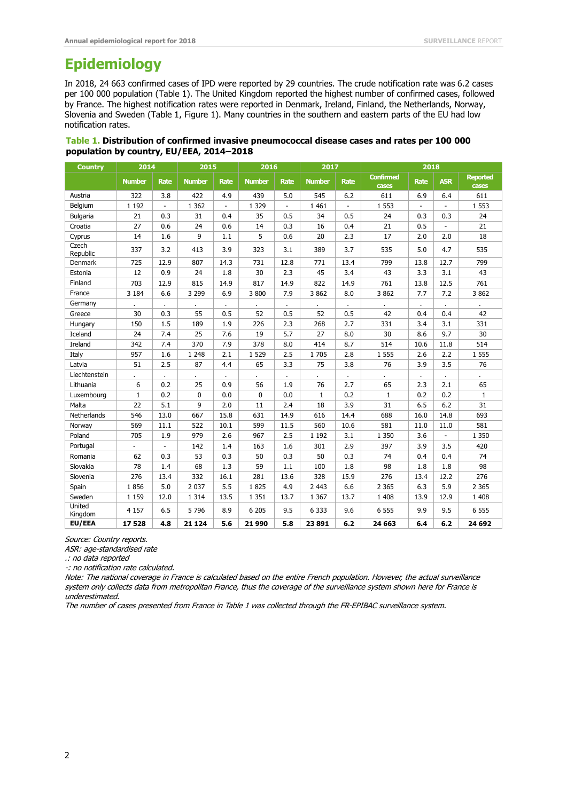### **Epidemiology**

In 2018, 24 663 confirmed cases of IPD were reported by 29 countries. The crude notification rate was 6.2 cases per 100 000 population (Table 1). The United Kingdom reported the highest number of confirmed cases, followed by France. The highest notification rates were reported in Denmark, Ireland, Finland, the Netherlands, Norway, Slovenia and Sweden (Table 1, Figure 1). Many countries in the southern and eastern parts of the EU had low notification rates.

#### **Table 1. Distribution of confirmed invasive pneumococcal disease cases and rates per 100 000 population by country, EU/EEA, 2014–2018**

| <b>Country</b>    | 2014          |                | 2015          |                          | 2016          |                | 2017          |                | 2018                      |              |              |                          |
|-------------------|---------------|----------------|---------------|--------------------------|---------------|----------------|---------------|----------------|---------------------------|--------------|--------------|--------------------------|
|                   | <b>Number</b> | Rate           | <b>Number</b> | <b>Rate</b>              | <b>Number</b> | <b>Rate</b>    | <b>Number</b> | Rate           | <b>Confirmed</b><br>cases | <b>Rate</b>  | <b>ASR</b>   | <b>Reported</b><br>cases |
| Austria           | 322           | 3.8            | 422           | 4.9                      | 439           | 5.0            | 545           | 6.2            | 611                       | 6.9          | 6.4          | 611                      |
| Belgium           | 1 1 9 2       | $\blacksquare$ | 1 3 6 2       | $\overline{\phantom{a}}$ | 1 3 2 9       | $\blacksquare$ | 1 4 6 1       | $\blacksquare$ | 1 5 5 3                   |              |              | 1 5 5 3                  |
| Bulgaria          | 21            | 0.3            | 31            | 0.4                      | 35            | 0.5            | 34            | 0.5            | 24                        | 0.3          | 0.3          | 24                       |
| Croatia           | 27            | 0.6            | 24            | 0.6                      | 14            | 0.3            | 16            | 0.4            | 21                        | 0.5          | ÷.           | 21                       |
| Cyprus            | 14            | 1.6            | 9             | 1.1                      | 5             | 0.6            | 20            | 2.3            | 17                        | 2.0          | 2.0          | 18                       |
| Czech<br>Republic | 337           | 3.2            | 413           | 3.9                      | 323           | 3.1            | 389           | 3.7            | 535                       | 5.0          | 4.7          | 535                      |
| Denmark           | 725           | 12.9           | 807           | 14.3                     | 731           | 12.8           | 771           | 13.4           | 799                       | 13.8         | 12.7         | 799                      |
| Estonia           | 12            | 0.9            | 24            | 1.8                      | 30            | 2.3            | 45            | 3.4            | 43                        | 3.3          | 3.1          | 43                       |
| Finland           | 703           | 12.9           | 815           | 14.9                     | 817           | 14.9           | 822           | 14.9           | 761                       | 13.8         | 12.5         | 761                      |
| France            | 3 1 8 4       | 6.6            | 3 2 9 9       | 6.9                      | 3 800         | 7.9            | 3 8 6 2       | 8.0            | 3 8 6 2                   | 7.7          | 7.2          | 3 8 6 2                  |
| Germany           |               | $\epsilon$     |               | $\blacksquare$           |               | $\cdot$        |               |                |                           | $\mathbf{r}$ | $\mathbf{r}$ |                          |
| Greece            | 30            | 0.3            | 55            | 0.5                      | 52            | 0.5            | 52            | 0.5            | 42                        | 0.4          | 0.4          | 42                       |
| Hungary           | 150           | 1.5            | 189           | 1.9                      | 226           | 2.3            | 268           | 2.7            | 331                       | 3.4          | 3.1          | 331                      |
| Iceland           | 24            | 7.4            | 25            | 7.6                      | 19            | 5.7            | 27            | 8.0            | 30                        | 8.6          | 9.7          | 30                       |
| Ireland           | 342           | 7.4            | 370           | 7.9                      | 378           | 8.0            | 414           | 8.7            | 514                       | 10.6         | 11.8         | 514                      |
| Italy             | 957           | 1.6            | 1 2 4 8       | 2.1                      | 1 5 2 9       | 2.5            | 1705          | 2.8            | 1 5 5 5                   | 2.6          | 2.2          | 1 5 5 5                  |
| Latvia            | 51            | 2.5            | 87            | 4.4                      | 65            | 3.3            | 75            | 3.8            | 76                        | 3.9          | 3.5          | 76                       |
| Liechtenstein     | ä,            | ä.             |               | $\mathbf{r}$             | a.            | ä.             | ä.            | ¥.             |                           |              | ¥.           | ÷.                       |
| Lithuania         | 6             | 0.2            | 25            | 0.9                      | 56            | 1.9            | 76            | 2.7            | 65                        | 2.3          | 2.1          | 65                       |
| Luxembourg        | $\mathbf{1}$  | 0.2            | $\mathbf{0}$  | 0.0                      | 0             | 0.0            | $\mathbf{1}$  | 0.2            | $\mathbf{1}$              | 0.2          | 0.2          | $\mathbf{1}$             |
| Malta             | 22            | 5.1            | 9             | 2.0                      | 11            | 2.4            | 18            | 3.9            | 31                        | 6.5          | 6.2          | 31                       |
| Netherlands       | 546           | 13.0           | 667           | 15.8                     | 631           | 14.9           | 616           | 14.4           | 688                       | 16.0         | 14.8         | 693                      |
| Norway            | 569           | 11.1           | 522           | 10.1                     | 599           | 11.5           | 560           | 10.6           | 581                       | 11.0         | 11.0         | 581                      |
| Poland            | 705           | 1.9            | 979           | 2.6                      | 967           | 2.5            | 1 1 9 2       | 3.1            | 1 3 5 0                   | 3.6          | ÷.           | 1 3 5 0                  |
| Portugal          | ÷.            | $\blacksquare$ | 142           | 1.4                      | 163           | 1.6            | 301           | 2.9            | 397                       | 3.9          | 3.5          | 420                      |
| Romania           | 62            | 0.3            | 53            | 0.3                      | 50            | 0.3            | 50            | 0.3            | 74                        | 0.4          | 0.4          | 74                       |
| Slovakia          | 78            | 1.4            | 68            | 1.3                      | 59            | 1.1            | 100           | 1.8            | 98                        | 1.8          | 1.8          | 98                       |
| Slovenia          | 276           | 13.4           | 332           | 16.1                     | 281           | 13.6           | 328           | 15.9           | 276                       | 13.4         | 12.2         | 276                      |
| Spain             | 1856          | 5.0            | 2 0 3 7       | 5.5                      | 1825          | 4.9            | 2 4 4 3       | 6.6            | 2 3 6 5                   | 6.3          | 5.9          | 2 3 6 5                  |
| Sweden            | 1 1 5 9       | 12.0           | 1 3 1 4       | 13.5                     | 1 3 5 1       | 13.7           | 1 3 6 7       | 13.7           | 1 4 0 8                   | 13.9         | 12.9         | 1 4 0 8                  |
| United<br>Kingdom | 4 1 5 7       | 6.5            | 5 7 9 6       | 8.9                      | 6 2 0 5       | 9.5            | 6 3 3 3       | 9.6            | 6 5 5 5                   | 9.9          | 9.5          | 6 5 5 5                  |
| EU/EEA            | 17528         | 4.8            | 21 1 24       | 5.6                      | 21 990        | 5.8            | 23891         | 6.2            | 24 663                    | 6.4          | 6.2          | 24 692                   |

Source: Country reports.

ASR: age-standardised rate

.: no data reported

-: no notification rate calculated.

Note: The national coverage in France is calculated based on the entire French population. However, the actual surveillance system only collects data from metropolitan France, thus the coverage of the surveillance system shown here for France is underestimated.

The number of cases presented from France in Table 1 was collected through the FR-EPIBAC surveillance system.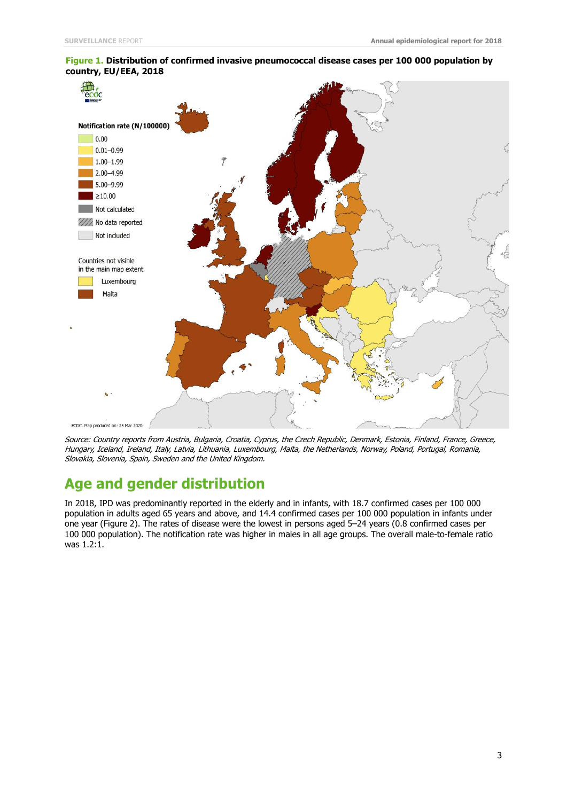

#### **Figure 1. Distribution of confirmed invasive pneumococcal disease cases per 100 000 population by country, EU/EEA, 2018**

Source: Country reports from Austria, Bulgaria, Croatia, Cyprus, the Czech Republic, Denmark, Estonia, Finland, France, Greece, Hungary, Iceland, Ireland, Italy, Latvia, Lithuania, Luxembourg, Malta, the Netherlands, Norway, Poland, Portugal, Romania, Slovakia, Slovenia, Spain, Sweden and the United Kingdom.

### **Age and gender distribution**

In 2018, IPD was predominantly reported in the elderly and in infants, with 18.7 confirmed cases per 100 000 population in adults aged 65 years and above, and 14.4 confirmed cases per 100 000 population in infants under one year (Figure 2). The rates of disease were the lowest in persons aged 5–24 years (0.8 confirmed cases per 100 000 population). The notification rate was higher in males in all age groups. The overall male-to-female ratio was 1.2:1.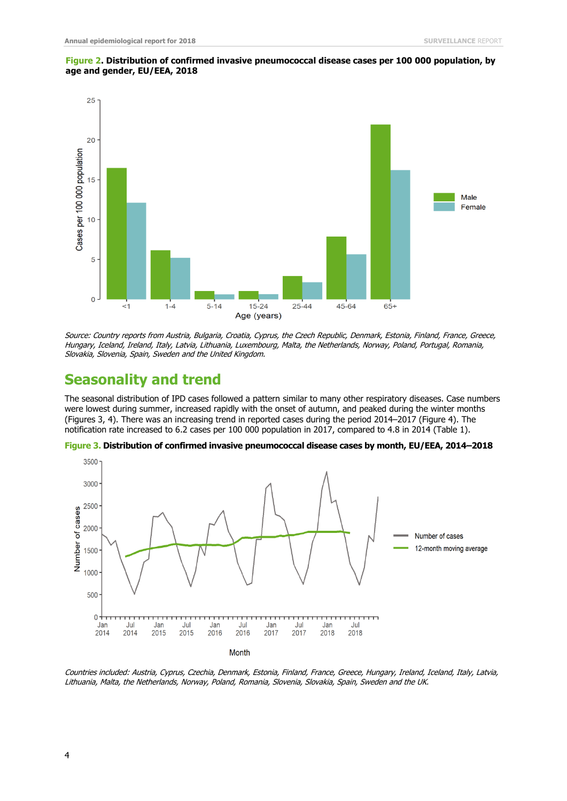

#### **Figure 2. Distribution of confirmed invasive pneumococcal disease cases per 100 000 population, by age and gender, EU/EEA, 2018**

Source: Country reports from Austria, Bulgaria, Croatia, Cyprus, the Czech Republic, Denmark, Estonia, Finland, France, Greece, Hungary, Iceland, Ireland, Italy, Latvia, Lithuania, Luxembourg, Malta, the Netherlands, Norway, Poland, Portugal, Romania, Slovakia, Slovenia, Spain, Sweden and the United Kingdom.

### **Seasonality and trend**

The seasonal distribution of IPD cases followed a pattern similar to many other respiratory diseases. Case numbers were lowest during summer, increased rapidly with the onset of autumn, and peaked during the winter months (Figures 3, 4). There was an increasing trend in reported cases during the period 2014–2017 (Figure 4). The notification rate increased to 6.2 cases per 100 000 population in 2017, compared to 4.8 in 2014 (Table 1).



**Figure 3. Distribution of confirmed invasive pneumococcal disease cases by month, EU/EEA, 2014–2018**

Countries included: Austria, Cyprus, Czechia, Denmark, Estonia, Finland, France, Greece, Hungary, Ireland, Iceland, Italy, Latvia, Lithuania, Malta, the Netherlands, Norway, Poland, Romania, Slovenia, Slovakia, Spain, Sweden and the UK.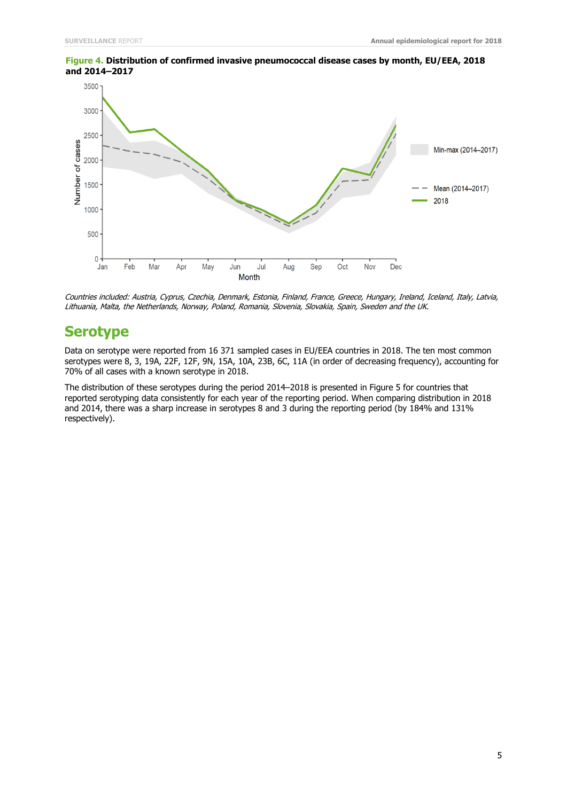

**Figure 4. Distribution of confirmed invasive pneumococcal disease cases by month, EU/EEA, 2018 and 2014–2017**

Countries included: Austria, Cyprus, Czechia, Denmark, Estonia, Finland, France, Greece, Hungary, Ireland, Iceland, Italy, Latvia, Lithuania, Malta, the Netherlands, Norway, Poland, Romania, Slovenia, Slovakia, Spain, Sweden and the UK.

### **Serotype**

Data on serotype were reported from 16 371 sampled cases in EU/EEA countries in 2018. The ten most common serotypes were 8, 3, 19A, 22F, 12F, 9N, 15A, 10A, 23B, 6C, 11A (in order of decreasing frequency), accounting for 70% of all cases with a known serotype in 2018.

The distribution of these serotypes during the period 2014–2018 is presented in Figure 5 for countries that reported serotyping data consistently for each year of the reporting period. When comparing distribution in 2018 and 2014, there was a sharp increase in serotypes 8 and 3 during the reporting period (by 184% and 131% respectively).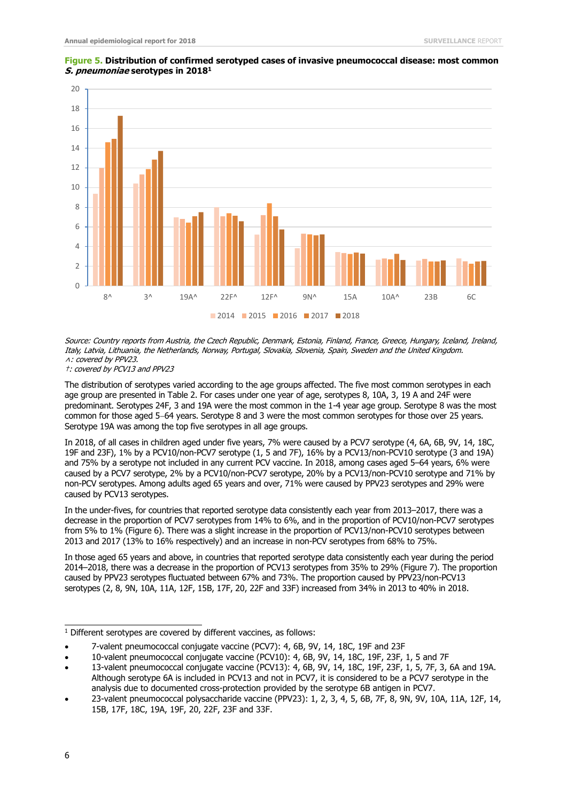

#### **Figure 5. Distribution of confirmed serotyped cases of invasive pneumococcal disease: most common S. pneumoniae serotypes in 2018<sup>1</sup>**

Source: Country reports from Austria, the Czech Republic, Denmark, Estonia, Finland, France, Greece, Hungary, Iceland, Ireland, Italy, Latvia, Lithuania, the Netherlands, Norway, Portugal, Slovakia, Slovenia, Spain, Sweden and the United Kingdom. ˄: covered by PPV23.

†: covered by PCV13 and PPV23

The distribution of serotypes varied according to the age groups affected. The five most common serotypes in each age group are presented in Table 2. For cases under one year of age, serotypes 8, 10A, 3, 19 A and 24F were predominant. Serotypes 24F, 3 and 19A were the most common in the 1-4 year age group. Serotype 8 was the most common for those aged 5-64 years. Serotype 8 and 3 were the most common serotypes for those over 25 years. Serotype 19A was among the top five serotypes in all age groups.

In 2018, of all cases in children aged under five years, 7% were caused by a PCV7 serotype (4, 6A, 6B, 9V, 14, 18C, 19F and 23F), 1% by a PCV10/non-PCV7 serotype (1, 5 and 7F), 16% by a PCV13/non-PCV10 serotype (3 and 19A) and 75% by a serotype not included in any current PCV vaccine. In 2018, among cases aged 5–64 years, 6% were caused by a PCV7 serotype, 2% by a PCV10/non-PCV7 serotype, 20% by a PCV13/non-PCV10 serotype and 71% by non-PCV serotypes. Among adults aged 65 years and over, 71% were caused by PPV23 serotypes and 29% were caused by PCV13 serotypes.

In the under-fives, for countries that reported serotype data consistently each year from 2013–2017, there was a decrease in the proportion of PCV7 serotypes from 14% to 6%, and in the proportion of PCV10/non-PCV7 serotypes from 5% to 1% (Figure 6). There was a slight increase in the proportion of PCV13/non-PCV10 serotypes between 2013 and 2017 (13% to 16% respectively) and an increase in non-PCV serotypes from 68% to 75%.

In those aged 65 years and above, in countries that reported serotype data consistently each year during the period 2014–2018, there was a decrease in the proportion of PCV13 serotypes from 35% to 29% (Figure 7). The proportion caused by PPV23 serotypes fluctuated between 67% and 73%. The proportion caused by PPV23/non-PCV13 serotypes (2, 8, 9N, 10A, 11A, 12F, 15B, 17F, 20, 22F and 33F) increased from 34% in 2013 to 40% in 2018.

 $\frac{1}{1}$  Different serotypes are covered by different vaccines, as follows:

7-valent pneumococcal conjugate vaccine (PCV7): 4, 6B, 9V, 14, 18C, 19F and 23F

10-valent pneumococcal conjugate vaccine (PCV10): 4, 6B, 9V, 14, 18C, 19F, 23F, 1, 5 and 7F

13-valent pneumococcal conjugate vaccine (PCV13): 4, 6B, 9V, 14, 18C, 19F, 23F, 1, 5, 7F, 3, 6A and 19A. Although serotype 6A is included in PCV13 and not in PCV7, it is considered to be a PCV7 serotype in the analysis due to documented cross-protection provided by the serotype 6B antigen in PCV7.

23-valent pneumococcal polysaccharide vaccine (PPV23): 1, 2, 3, 4, 5, 6B, 7F, 8, 9N, 9V, 10A, 11A, 12F, 14, 15B, 17F, 18C, 19A, 19F, 20, 22F, 23F and 33F.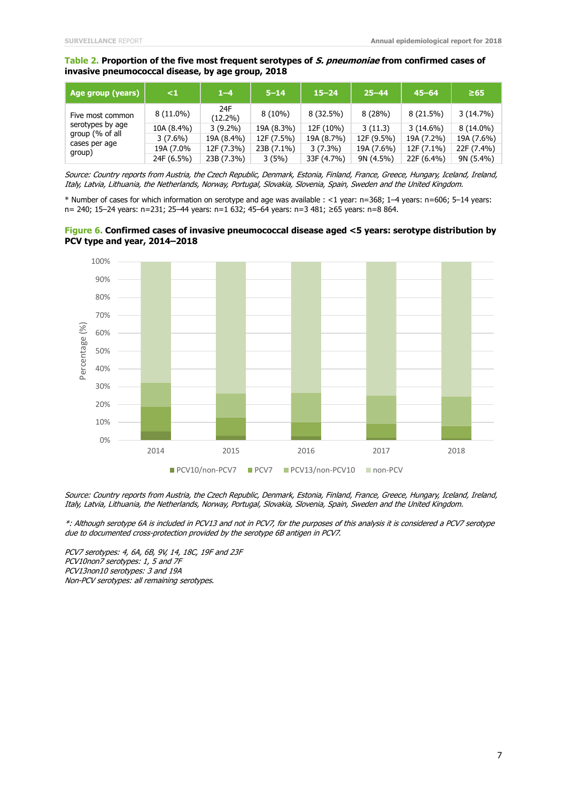#### **Table 2. Proportion of the five most frequent serotypes of S. pneumoniae from confirmed cases of invasive pneumococcal disease, by age group, 2018**

| Age group (years) <sup> </sup> | $\leq$ 1    | $1 - 4$           | $5 - 14$   | $15 - 24$   | $25 - 44$  | $45 - 64$   | $\geq 65$   |
|--------------------------------|-------------|-------------------|------------|-------------|------------|-------------|-------------|
| Five most common               | $8(11.0\%)$ | 24F<br>$(12.2\%)$ | $8(10\%)$  | $8(32.5\%)$ | 8(28%)     | $8(21.5\%)$ | 3(14.7%)    |
| serotypes by age               | 10A (8.4%)  | $3(9.2\%)$        | 19A (8.3%) | 12F (10%)   | 3(11.3)    | $3(14.6\%)$ | $8(14.0\%)$ |
| group (% of all                | $3(7.6\%)$  | 19A (8.4%)        | 12F (7.5%) | 19A (8.7%)  | 12F (9.5%) | 19A (7.2%)  | 19A (7.6%)  |
| cases per age<br>group)        | 19A (7.0%   | 12F (7.3%)        | 23B (7.1%) | $3(7.3\%)$  | 19A (7.6%) | 12F (7.1%)  | 22F (7.4%)  |
|                                | 24F (6.5%)  | 23B (7.3%)        | 3(5%)      | 33F (4.7%)  | 9N (4.5%)  | 22F (6.4%)  | 9N (5.4%)   |

Source: Country reports from Austria, the Czech Republic, Denmark, Estonia, Finland, France, Greece, Hungary, Iceland, Ireland, Italy, Latvia, Lithuania, the Netherlands, Norway, Portugal, Slovakia, Slovenia, Spain, Sweden and the United Kingdom.

\* Number of cases for which information on serotype and age was available : <1 year: n=368; 1–4 years: n=606; 5–14 years: n= 240; 15–24 years: n=231; 25–44 years: n=1 632; 45–64 years: n=3 481; ≥65 years: n=8 864.

#### **Figure 6. Confirmed cases of invasive pneumococcal disease aged <5 years: serotype distribution by PCV type and year, 2014–2018**



Source: Country reports from Austria, the Czech Republic, Denmark, Estonia, Finland, France, Greece, Hungary, Iceland, Ireland, Italy, Latvia, Lithuania, the Netherlands, Norway, Portugal, Slovakia, Slovenia, Spain, Sweden and the United Kingdom.

\*: Although serotype 6A is included in PCV13 and not in PCV7, for the purposes of this analysis it is considered a PCV7 serotype due to documented cross-protection provided by the serotype 6B antigen in PCV7.

PCV7 serotypes: 4, 6A, 6B, 9V, 14, 18C, 19F and 23F PCV10non7 serotypes: 1, 5 and 7F PCV13non10 serotypes: 3 and 19A Non-PCV serotypes: all remaining serotypes.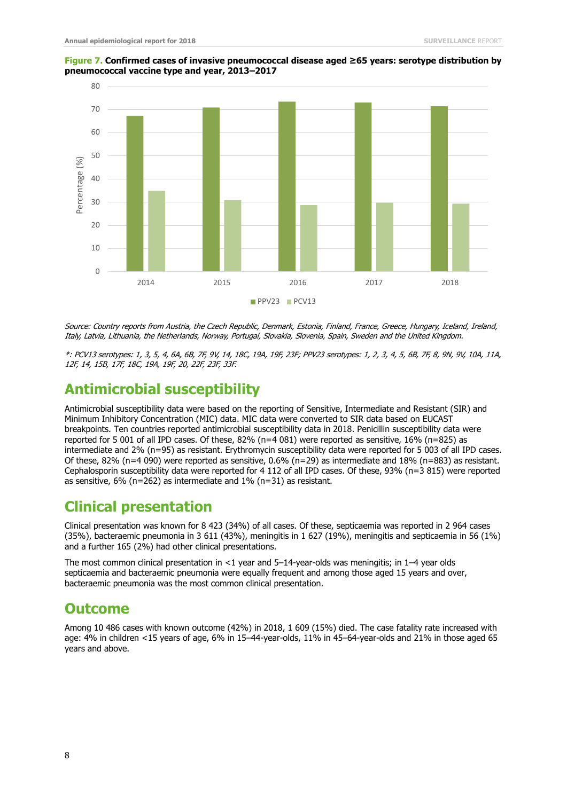

#### **Figure 7. Confirmed cases of invasive pneumococcal disease aged ≥65 years: serotype distribution by pneumococcal vaccine type and year, 2013–2017**

Source: Country reports from Austria, the Czech Republic, Denmark, Estonia, Finland, France, Greece, Hungary, Iceland, Ireland, Italy, Latvia, Lithuania, the Netherlands, Norway, Portugal, Slovakia, Slovenia, Spain, Sweden and the United Kingdom.

\*: PCV13 serotypes: 1, 3, 5, 4, 6A, 6B, 7F, 9V, 14, 18C, 19A, 19F, 23F; PPV23 serotypes: 1, 2, 3, 4, 5, 6B, 7F, 8, 9N, 9V, 10A, 11A, 12F, 14, 15B, 17F, 18C, 19A, 19F, 20, 22F, 23F, 33F.

### **Antimicrobial susceptibility**

Antimicrobial susceptibility data were based on the reporting of Sensitive, Intermediate and Resistant (SIR) and Minimum Inhibitory Concentration (MIC) data. MIC data were converted to SIR data based on EUCAST breakpoints. Ten countries reported antimicrobial susceptibility data in 2018. Penicillin susceptibility data were reported for 5 001 of all IPD cases. Of these, 82% (n=4 081) were reported as sensitive, 16% (n=825) as intermediate and 2% (n=95) as resistant. Erythromycin susceptibility data were reported for 5 003 of all IPD cases. Of these, 82% (n=4 090) were reported as sensitive, 0.6% (n=29) as intermediate and 18% (n=883) as resistant. Cephalosporin susceptibility data were reported for 4 112 of all IPD cases. Of these, 93% (n=3 815) were reported as sensitive, 6% (n=262) as intermediate and 1% (n=31) as resistant.

### **Clinical presentation**

Clinical presentation was known for 8 423 (34%) of all cases. Of these, septicaemia was reported in 2 964 cases (35%), bacteraemic pneumonia in 3 611 (43%), meningitis in 1 627 (19%), meningitis and septicaemia in 56 (1%) and a further 165 (2%) had other clinical presentations.

The most common clinical presentation in <1 year and 5–14-year-olds was meningitis; in 1–4 year olds septicaemia and bacteraemic pneumonia were equally frequent and among those aged 15 years and over, bacteraemic pneumonia was the most common clinical presentation.

### **Outcome**

Among 10 486 cases with known outcome (42%) in 2018, 1 609 (15%) died. The case fatality rate increased with age: 4% in children <15 years of age, 6% in 15–44-year-olds, 11% in 45–64-year-olds and 21% in those aged 65 years and above.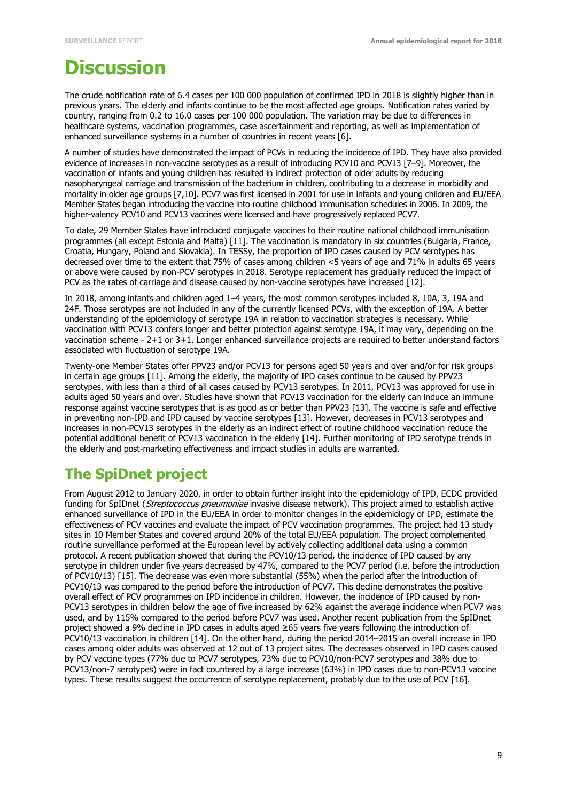## **Discussion**

The crude notification rate of 6.4 cases per 100 000 population of confirmed IPD in 2018 is slightly higher than in previous years. The elderly and infants continue to be the most affected age groups. Notification rates varied by country, ranging from 0.2 to 16.0 cases per 100 000 population. The variation may be due to differences in healthcare systems, vaccination programmes, case ascertainment and reporting, as well as implementation of enhanced surveillance systems in a number of countries in recent years [6].

A number of studies have demonstrated the impact of PCVs in reducing the incidence of IPD. They have also provided evidence of increases in non-vaccine serotypes as a result of introducing PCV10 and PCV13 [7–9]. Moreover, the vaccination of infants and young children has resulted in indirect protection of older adults by reducing nasopharyngeal carriage and transmission of the bacterium in children, contributing to a decrease in morbidity and mortality in older age groups [7,10]. PCV7 was first licensed in 2001 for use in infants and young children and EU/EEA Member States began introducing the vaccine into routine childhood immunisation schedules in 2006. In 2009, the higher-valency PCV10 and PCV13 vaccines were licensed and have progressively replaced PCV7.

To date, 29 Member States have introduced conjugate vaccines to their routine national childhood immunisation programmes (all except Estonia and Malta) [11]. The vaccination is mandatory in six countries (Bulgaria, France, Croatia, Hungary, Poland and Slovakia). In TESSy, the proportion of IPD cases caused by PCV serotypes has decreased over time to the extent that 75% of cases among children <5 years of age and 71% in adults 65 years or above were caused by non-PCV serotypes in 2018. Serotype replacement has gradually reduced the impact of PCV as the rates of carriage and disease caused by non-vaccine serotypes have increased [12].

In 2018, among infants and children aged 1–4 years, the most common serotypes included 8, 10A, 3, 19A and 24F. Those serotypes are not included in any of the currently licensed PCVs, with the exception of 19A. A better understanding of the epidemiology of serotype 19A in relation to vaccination strategies is necessary. While vaccination with PCV13 confers longer and better protection against serotype 19A, it may vary, depending on the vaccination scheme - 2+1 or 3+1. Longer enhanced surveillance projects are required to better understand factors associated with fluctuation of serotype 19A.

Twenty-one Member States offer PPV23 and/or PCV13 for persons aged 50 years and over and/or for risk groups in certain age groups [11]. Among the elderly, the majority of IPD cases continue to be caused by PPV23 serotypes, with less than a third of all cases caused by PCV13 serotypes. In 2011, PCV13 was approved for use in adults aged 50 years and over. Studies have shown that PCV13 vaccination for the elderly can induce an immune response against vaccine serotypes that is as good as or better than PPV23 [13]. The vaccine is safe and effective in preventing non-IPD and IPD caused by vaccine serotypes [13]. However, decreases in PCV13 serotypes and increases in non-PCV13 serotypes in the elderly as an indirect effect of routine childhood vaccination reduce the potential additional benefit of PCV13 vaccination in the elderly [14]. Further monitoring of IPD serotype trends in the elderly and post-marketing effectiveness and impact studies in adults are warranted.

### **The SpiDnet project**

From August 2012 to January 2020, in order to obtain further insight into the epidemiology of IPD, ECDC provided funding for SpIDnet (Streptococcus pneumoniae invasive disease network). This project aimed to establish active enhanced surveillance of IPD in the EU/EEA in order to monitor changes in the epidemiology of IPD, estimate the effectiveness of PCV vaccines and evaluate the impact of PCV vaccination programmes. The project had 13 study sites in 10 Member States and covered around 20% of the total EU/EEA population. The project complemented routine surveillance performed at the European level by actively collecting additional data using a common protocol. A recent publication showed that during the PCV10/13 period, the incidence of IPD caused by any serotype in children under five years decreased by 47%, compared to the PCV7 period (i.e. before the introduction of PCV10/13) [15]. The decrease was even more substantial (55%) when the period after the introduction of PCV10/13 was compared to the period before the introduction of PCV7. This decline demonstrates the positive overall effect of PCV programmes on IPD incidence in children. However, the incidence of IPD caused by non-PCV13 serotypes in children below the age of five increased by 62% against the average incidence when PCV7 was used, and by 115% compared to the period before PCV7 was used. Another recent publication from the SpIDnet project showed a 9% decline in IPD cases in adults aged ≥65 years five years following the introduction of PCV10/13 vaccination in children [14]. On the other hand, during the period 2014–2015 an overall increase in IPD cases among older adults was observed at 12 out of 13 project sites. The decreases observed in IPD cases caused by PCV vaccine types (77% due to PCV7 serotypes, 73% due to PCV10/non-PCV7 serotypes and 38% due to PCV13/non-7 serotypes) were in fact countered by a large increase (63%) in IPD cases due to non-PCV13 vaccine types. These results suggest the occurrence of serotype replacement, probably due to the use of PCV [16].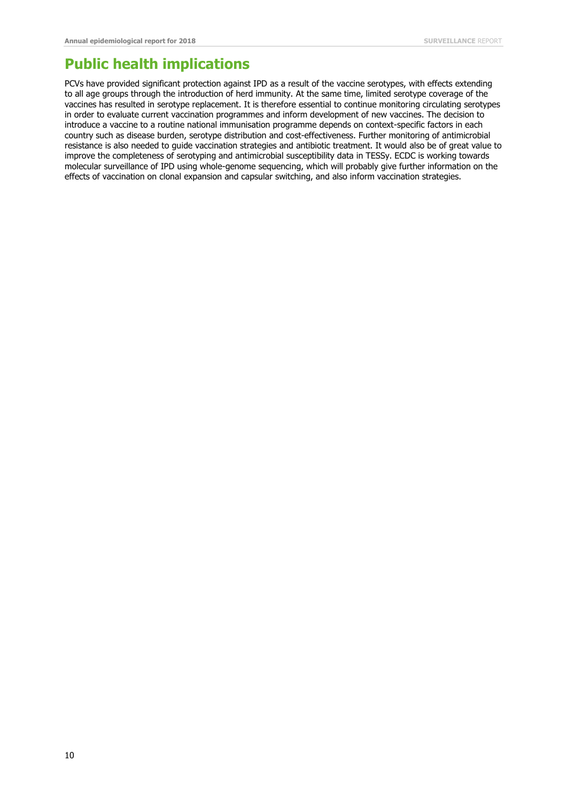### **Public health implications**

PCVs have provided significant protection against IPD as a result of the vaccine serotypes, with effects extending to all age groups through the introduction of herd immunity. At the same time, limited serotype coverage of the vaccines has resulted in serotype replacement. It is therefore essential to continue monitoring circulating serotypes in order to evaluate current vaccination programmes and inform development of new vaccines. The decision to introduce a vaccine to a routine national immunisation programme depends on context-specific factors in each country such as disease burden, serotype distribution and cost-effectiveness. Further monitoring of antimicrobial resistance is also needed to guide vaccination strategies and antibiotic treatment. It would also be of great value to improve the completeness of serotyping and antimicrobial susceptibility data in TESSy. ECDC is working towards molecular surveillance of IPD using whole-genome sequencing, which will probably give further information on the effects of vaccination on clonal expansion and capsular switching, and also inform vaccination strategies.